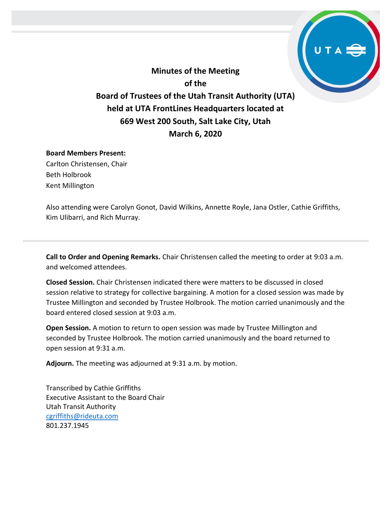

## **March 6, 2020**

## **Board Members Present:**

Carlton Christensen, Chair Beth Holbrook Kent Millington

Also attending were Carolyn Gonot, David Wilkins, Annette Royle, Jana Ostler, Cathie Griffiths, Kim Ulibarri, and Rich Murray.

**Call to Order and Opening Remarks.** Chair Christensen called the meeting to order at 9:03 a.m. and welcomed attendees.

**Closed Session.** Chair Christensen indicated there were matters to be discussed in closed session relative to strategy for collective bargaining. A motion for a closed session was made by Trustee Millington and seconded by Trustee Holbrook. The motion carried unanimously and the board entered closed session at 9:03 a.m.

**Open Session.** A motion to return to open session was made by Trustee Millington and seconded by Trustee Holbrook. The motion carried unanimously and the board returned to open session at 9:31 a.m.

**Adjourn.** The meeting was adjourned at 9:31 a.m. by motion.

Transcribed by Cathie Griffiths Executive Assistant to the Board Chair Utah Transit Authority [cgriffiths@rideuta.com](mailto:cgriffiths@rideuta.com) 801.237.1945